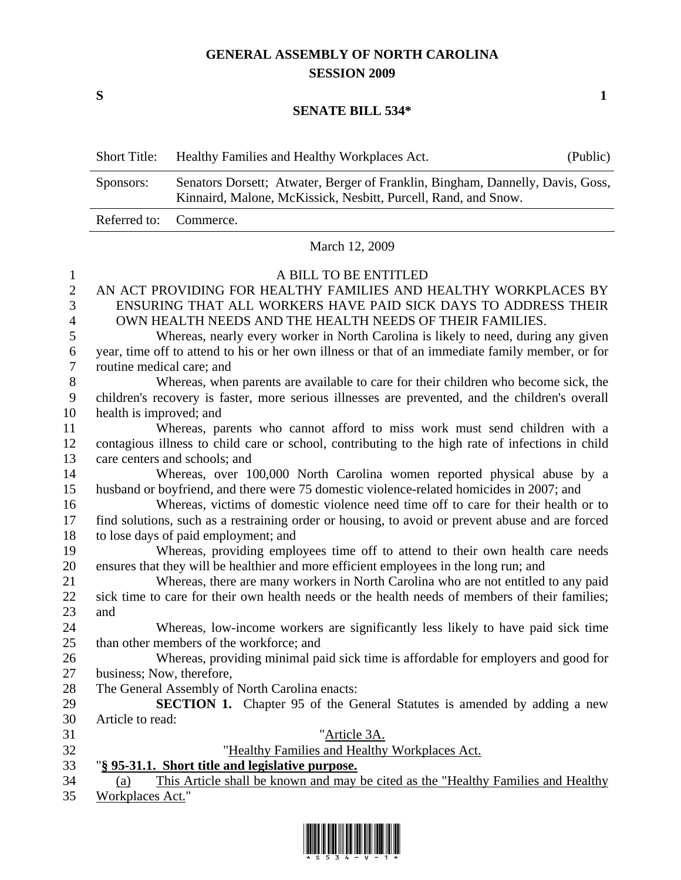## **GENERAL ASSEMBLY OF NORTH CAROLINA SESSION 2009**

 $S$  1

### **SENATE BILL 534\***

| <b>Short Title:</b>    | Healthy Families and Healthy Workplaces Act.                                                                                                     | (Public) |
|------------------------|--------------------------------------------------------------------------------------------------------------------------------------------------|----------|
| Sponsors:              | Senators Dorsett; Atwater, Berger of Franklin, Bingham, Dannelly, Davis, Goss,<br>Kinnaird, Malone, McKissick, Nesbitt, Purcell, Rand, and Snow. |          |
| Referred to: Commerce. |                                                                                                                                                  |          |

#### March 12, 2009

#### 1 A BILL TO BE ENTITLED

2 AN ACT PROVIDING FOR HEALTHY FAMILIES AND HEALTHY WORKPLACES BY 3 ENSURING THAT ALL WORKERS HAVE PAID SICK DAYS TO ADDRESS THEIR 4 OWN HEALTH NEEDS AND THE HEALTH NEEDS OF THEIR FAMILIES.

5 Whereas, nearly every worker in North Carolina is likely to need, during any given 6 year, time off to attend to his or her own illness or that of an immediate family member, or for 7 routine medical care; and

8 Whereas, when parents are available to care for their children who become sick, the 9 children's recovery is faster, more serious illnesses are prevented, and the children's overall 10 health is improved; and

11 Whereas, parents who cannot afford to miss work must send children with a 12 contagious illness to child care or school, contributing to the high rate of infections in child 13 care centers and schools; and

14 Whereas, over 100,000 North Carolina women reported physical abuse by a 15 husband or boyfriend, and there were 75 domestic violence-related homicides in 2007; and

16 Whereas, victims of domestic violence need time off to care for their health or to 17 find solutions, such as a restraining order or housing, to avoid or prevent abuse and are forced 18 to lose days of paid employment; and

19 Whereas, providing employees time off to attend to their own health care needs 20 ensures that they will be healthier and more efficient employees in the long run; and

21 Whereas, there are many workers in North Carolina who are not entitled to any paid 22 sick time to care for their own health needs or the health needs of members of their families; 23 and

24 Whereas, low-income workers are significantly less likely to have paid sick time 25 than other members of the workforce; and

26 Whereas, providing minimal paid sick time is affordable for employers and good for 27 business; Now, therefore,

28 The General Assembly of North Carolina enacts:

29 **SECTION 1.** Chapter 95 of the General Statutes is amended by adding a new 30 Article to read:

31 "Article 3A. 32 "Healthy Families and Healthy Workplaces Act. 33 "**§ 95-31.1. Short title and legislative purpose.** 34 (a) This Article shall be known and may be cited as the "Healthy Families and Healthy

35 Workplaces Act."

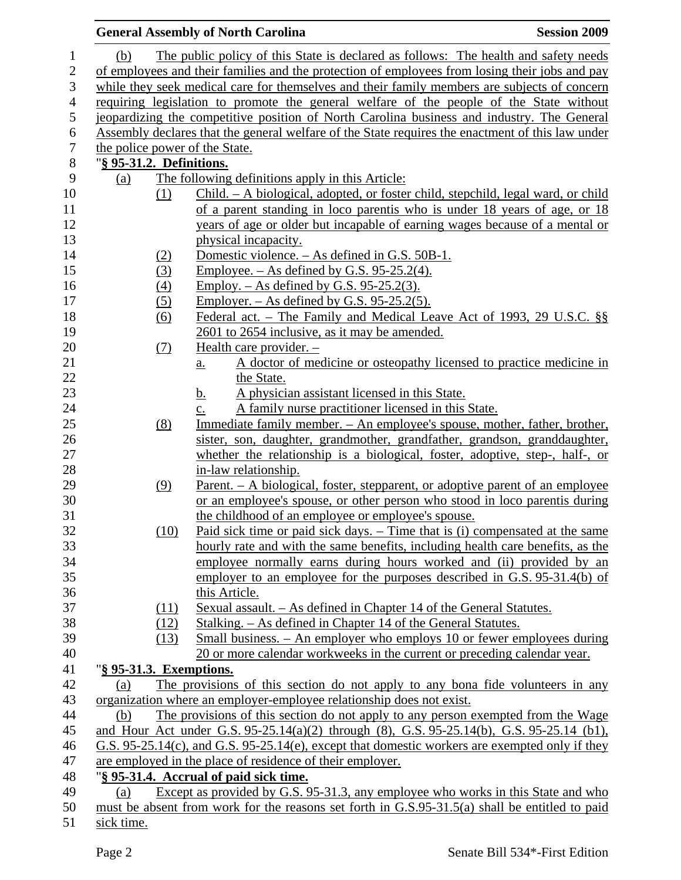|                |                          |            | <b>General Assembly of North Carolina</b>                                                        | <b>Session 2009</b> |
|----------------|--------------------------|------------|--------------------------------------------------------------------------------------------------|---------------------|
| 1              | (b)                      |            | The public policy of this State is declared as follows: The health and safety needs              |                     |
| $\mathbf{2}$   |                          |            | of employees and their families and the protection of employees from losing their jobs and pay   |                     |
| $\mathfrak{Z}$ |                          |            | while they seek medical care for themselves and their family members are subjects of concern     |                     |
| $\overline{4}$ |                          |            | requiring legislation to promote the general welfare of the people of the State without          |                     |
| $\mathfrak{S}$ |                          |            | jeopardizing the competitive position of North Carolina business and industry. The General       |                     |
| 6              |                          |            | Assembly declares that the general welfare of the State requires the enactment of this law under |                     |
| $\tau$         |                          |            | the police power of the State.                                                                   |                     |
| $\, 8$         | "§ 95-31.2. Definitions. |            |                                                                                                  |                     |
| 9              | (a)                      |            | The following definitions apply in this Article:                                                 |                     |
| 10             |                          | (1)        | Child. – A biological, adopted, or foster child, stepchild, legal ward, or child                 |                     |
| 11             |                          |            | of a parent standing in loco parentis who is under 18 years of age, or 18                        |                     |
| 12             |                          |            | years of age or older but incapable of earning wages because of a mental or                      |                     |
| 13             |                          |            | physical incapacity.                                                                             |                     |
| 14             |                          |            | Domestic violence. – As defined in G.S. 50B-1.                                                   |                     |
| 15             |                          | (2)<br>(3) | <u>Employee. – As defined by G.S. 95-25.2(4).</u>                                                |                     |
| 16             |                          |            |                                                                                                  |                     |
| 17             |                          | (4)        | <u>Employ. – As defined by G.S. 95-25.2(3).</u><br>Employer. $-$ As defined by G.S. 95-25.2(5).  |                     |
| 18             |                          | (5)        | Federal act. – The Family and Medical Leave Act of 1993, 29 U.S.C. §§                            |                     |
| 19             |                          | (6)        | 2601 to 2654 inclusive, as it may be amended.                                                    |                     |
| 20             |                          |            | Health care provider. -                                                                          |                     |
| 21             |                          | (7)        | A doctor of medicine or osteopathy licensed to practice medicine in                              |                     |
| 22             |                          |            | $a_{\cdot}$<br>the State.                                                                        |                     |
| 23             |                          |            | A physician assistant licensed in this State.<br><u>b.</u>                                       |                     |
| 24             |                          |            | A family nurse practitioner licensed in this State.<br>$\underline{c}$ .                         |                     |
| 25             |                          | (8)        | <u>Immediate family member. – An employee's spouse, mother, father, brother,</u>                 |                     |
| 26             |                          |            | sister, son, daughter, grandmother, grandfather, grandson, granddaughter,                        |                     |
| 27             |                          |            | whether the relationship is a biological, foster, adoptive, step-, half-, or                     |                     |
| 28             |                          |            | in-law relationship.                                                                             |                     |
| 29             |                          | (9)        | <u>Parent. – A biological, foster, stepparent, or adoptive parent of an employee</u>             |                     |
| 30             |                          |            | or an employee's spouse, or other person who stood in loco parentis during                       |                     |
| 31             |                          |            | the childhood of an employee or employee's spouse.                                               |                     |
| 32             |                          | (10)       | Paid sick time or paid sick days. – Time that is (i) compensated at the same                     |                     |
| 33             |                          |            | hourly rate and with the same benefits, including health care benefits, as the                   |                     |
| 34             |                          |            | employee normally earns during hours worked and (ii) provided by an                              |                     |
| 35             |                          |            | employer to an employee for the purposes described in G.S. 95-31.4(b) of                         |                     |
| 36             |                          |            | this Article.                                                                                    |                     |
| 37             |                          | (11)       | Sexual assault. – As defined in Chapter 14 of the General Statutes.                              |                     |
| 38             |                          | (12)       | Stalking. – As defined in Chapter 14 of the General Statutes.                                    |                     |
| 39             |                          | (13)       | Small business. – An employer who employs 10 or fewer employees during                           |                     |
| 40             |                          |            | 20 or more calendar workweeks in the current or preceding calendar year.                         |                     |
| 41             | "§ 95-31.3. Exemptions.  |            |                                                                                                  |                     |
| 42             | (a)                      |            | The provisions of this section do not apply to any bona fide volunteers in any                   |                     |
| 43             |                          |            | organization where an employer-employee relationship does not exist.                             |                     |
| 44             | (b)                      |            | The provisions of this section do not apply to any person exempted from the Wage                 |                     |
| 45             |                          |            | and Hour Act under G.S. 95-25.14(a)(2) through (8), G.S. 95-25.14(b), G.S. 95-25.14 (b1),        |                     |
| 46             |                          |            | G.S. 95-25.14(c), and G.S. 95-25.14(e), except that domestic workers are exempted only if they   |                     |
| 47             |                          |            | are employed in the place of residence of their employer.                                        |                     |
| 48             |                          |            | "§ 95-31.4. Accrual of paid sick time.                                                           |                     |
| 49             | (a)                      |            | Except as provided by G.S. 95-31.3, any employee who works in this State and who                 |                     |
| 50             |                          |            | must be absent from work for the reasons set forth in G.S.95-31.5(a) shall be entitled to paid   |                     |
| 51             | sick time.               |            |                                                                                                  |                     |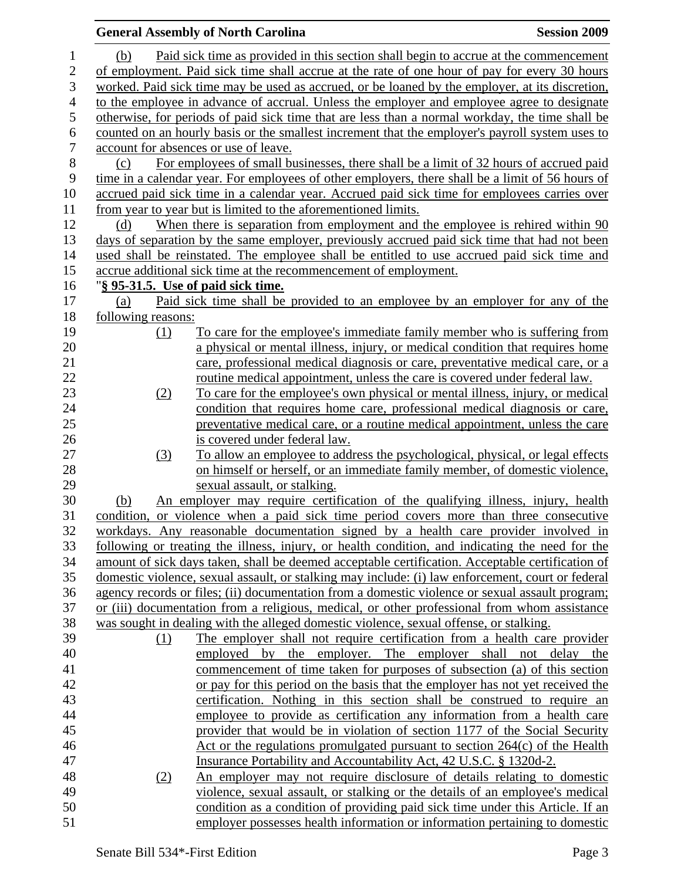|                |                    | <b>General Assembly of North Carolina</b>                                                                                                               | <b>Session 2009</b> |
|----------------|--------------------|---------------------------------------------------------------------------------------------------------------------------------------------------------|---------------------|
| 1              | (b)                | Paid sick time as provided in this section shall begin to accrue at the commencement                                                                    |                     |
| $\mathbf{2}$   |                    | of employment. Paid sick time shall accrue at the rate of one hour of pay for every 30 hours                                                            |                     |
| 3              |                    | worked. Paid sick time may be used as accrued, or be loaned by the employer, at its discretion,                                                         |                     |
| $\overline{4}$ |                    | to the employee in advance of accrual. Unless the employer and employee agree to designate                                                              |                     |
| $\mathfrak s$  |                    | otherwise, for periods of paid sick time that are less than a normal workday, the time shall be                                                         |                     |
| 6              |                    | counted on an hourly basis or the smallest increment that the employer's payroll system uses to                                                         |                     |
| $\tau$         |                    | account for absences or use of leave.                                                                                                                   |                     |
| $8\,$          | (c)                | For employees of small businesses, there shall be a limit of 32 hours of accrued paid                                                                   |                     |
| 9              |                    | time in a calendar year. For employees of other employers, there shall be a limit of 56 hours of                                                        |                     |
| 10             |                    | accrued paid sick time in a calendar year. Accrued paid sick time for employees carries over                                                            |                     |
| 11             |                    | from year to year but is limited to the aforementioned limits.                                                                                          |                     |
| 12             | (d)                | When there is separation from employment and the employee is rehired within 90                                                                          |                     |
| 13             |                    | days of separation by the same employer, previously accrued paid sick time that had not been                                                            |                     |
| 14             |                    | used shall be reinstated. The employee shall be entitled to use accrued paid sick time and                                                              |                     |
| 15             |                    | accrue additional sick time at the recommencement of employment.                                                                                        |                     |
| 16             |                    | "§ 95-31.5. Use of paid sick time.                                                                                                                      |                     |
| 17             | (a)                | Paid sick time shall be provided to an employee by an employer for any of the                                                                           |                     |
| 18             | following reasons: |                                                                                                                                                         |                     |
| 19             | (1)                | To care for the employee's immediate family member who is suffering from                                                                                |                     |
| 20             |                    | a physical or mental illness, injury, or medical condition that requires home                                                                           |                     |
| 21             |                    | care, professional medical diagnosis or care, preventative medical care, or a                                                                           |                     |
| 22             |                    | routine medical appointment, unless the care is covered under federal law.                                                                              |                     |
| 23             | (2)                | To care for the employee's own physical or mental illness, injury, or medical                                                                           |                     |
| 24             |                    | condition that requires home care, professional medical diagnosis or care,                                                                              |                     |
| 25             |                    | preventative medical care, or a routine medical appointment, unless the care                                                                            |                     |
| 26             |                    | is covered under federal law.                                                                                                                           |                     |
| 27             | (3)                | To allow an employee to address the psychological, physical, or legal effects                                                                           |                     |
| 28             |                    | on himself or herself, or an immediate family member, of domestic violence,                                                                             |                     |
| 29             |                    | sexual assault, or stalking.                                                                                                                            |                     |
| 30             | (b)                | An employer may require certification of the qualifying illness, injury, health                                                                         |                     |
| 31             |                    | condition, or violence when a paid sick time period covers more than three consecutive                                                                  |                     |
| 32             |                    | workdays. Any reasonable documentation signed by a health care provider involved in                                                                     |                     |
| 33             |                    | following or treating the illness, injury, or health condition, and indicating the need for the                                                         |                     |
| 34             |                    | amount of sick days taken, shall be deemed acceptable certification. Acceptable certification of                                                        |                     |
| 35             |                    | domestic violence, sexual assault, or stalking may include: (i) law enforcement, court or federal                                                       |                     |
| 36             |                    | agency records or files; (ii) documentation from a domestic violence or sexual assault program;                                                         |                     |
| 37             |                    | or (iii) documentation from a religious, medical, or other professional from whom assistance                                                            |                     |
| 38             |                    | was sought in dealing with the alleged domestic violence, sexual offense, or stalking.                                                                  |                     |
| 39             | (1)                | The employer shall not require certification from a health care provider                                                                                |                     |
| 40             |                    | employed by the employer. The employer shall not delay the                                                                                              |                     |
| 41             |                    | commencement of time taken for purposes of subsection (a) of this section                                                                               |                     |
| 42             |                    | or pay for this period on the basis that the employer has not yet received the                                                                          |                     |
| 43             |                    | certification. Nothing in this section shall be construed to require an                                                                                 |                     |
| 44             |                    | employee to provide as certification any information from a health care                                                                                 |                     |
| 45             |                    | provider that would be in violation of section 1177 of the Social Security                                                                              |                     |
| 46             |                    | Act or the regulations promulgated pursuant to section $264(c)$ of the Health                                                                           |                     |
| 47             |                    | Insurance Portability and Accountability Act, 42 U.S.C. § 1320d-2.                                                                                      |                     |
| 48<br>49       | (2)                | An employer may not require disclosure of details relating to domestic<br>violence, sexual assault, or stalking or the details of an employee's medical |                     |
| 50             |                    | condition as a condition of providing paid sick time under this Article. If an                                                                          |                     |
| 51             |                    | employer possesses health information or information pertaining to domestic                                                                             |                     |
|                |                    |                                                                                                                                                         |                     |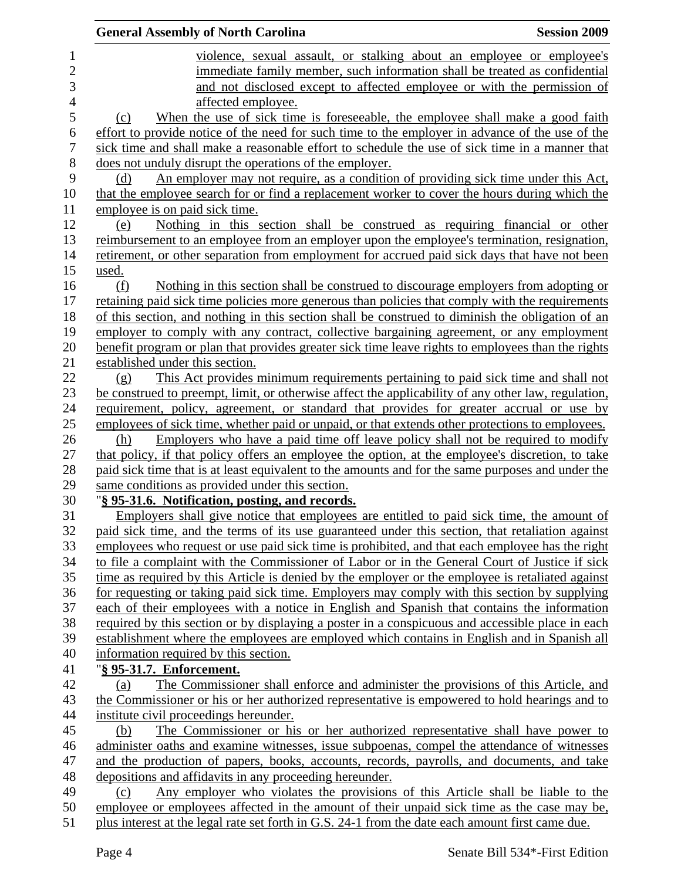|                | <b>General Assembly of North Carolina</b><br><b>Session 2009</b>                                    |
|----------------|-----------------------------------------------------------------------------------------------------|
| $\mathbf 1$    | violence, sexual assault, or stalking about an employee or employee's                               |
| $\overline{c}$ | immediate family member, such information shall be treated as confidential                          |
| 3              | and not disclosed except to affected employee or with the permission of                             |
| $\overline{4}$ | affected employee.                                                                                  |
| 5              | When the use of sick time is foreseeable, the employee shall make a good faith<br>(c)               |
| 6              | effort to provide notice of the need for such time to the employer in advance of the use of the     |
| 7              | sick time and shall make a reasonable effort to schedule the use of sick time in a manner that      |
| 8              | does not unduly disrupt the operations of the employer.                                             |
| 9              | An employer may not require, as a condition of providing sick time under this Act,<br>(d)           |
| 10             | that the employee search for or find a replacement worker to cover the hours during which the       |
| 11             | employee is on paid sick time.                                                                      |
| 12             | Nothing in this section shall be construed as requiring financial or other<br>(e)                   |
| 13             | reimbursement to an employee from an employer upon the employee's termination, resignation,         |
| 14             | retirement, or other separation from employment for accrued paid sick days that have not been       |
| 15             | used.                                                                                               |
| 16             | Nothing in this section shall be construed to discourage employers from adopting or<br>(f)          |
| 17             | retaining paid sick time policies more generous than policies that comply with the requirements     |
| 18             | of this section, and nothing in this section shall be construed to diminish the obligation of an    |
| 19             | employer to comply with any contract, collective bargaining agreement, or any employment            |
| 20             | benefit program or plan that provides greater sick time leave rights to employees than the rights   |
| 21             | established under this section.                                                                     |
| 22             | This Act provides minimum requirements pertaining to paid sick time and shall not<br>(g)            |
| 23             | be construed to preempt, limit, or otherwise affect the applicability of any other law, regulation, |
| 24             | requirement, policy, agreement, or standard that provides for greater accrual or use by             |
| 25             | employees of sick time, whether paid or unpaid, or that extends other protections to employees.     |
| 26             | Employers who have a paid time off leave policy shall not be required to modify<br>(h)              |
| 27             | that policy, if that policy offers an employee the option, at the employee's discretion, to take    |
| 28             | paid sick time that is at least equivalent to the amounts and for the same purposes and under the   |
| 29             | same conditions as provided under this section.                                                     |
| 30             | "§ 95-31.6. Notification, posting, and records.                                                     |
| 31             | Employers shall give notice that employees are entitled to paid sick time, the amount of            |
| 32             | paid sick time, and the terms of its use guaranteed under this section, that retaliation against    |
| 33             | employees who request or use paid sick time is prohibited, and that each employee has the right     |
| 34             | to file a complaint with the Commissioner of Labor or in the General Court of Justice if sick       |
| 35             | time as required by this Article is denied by the employer or the employee is retaliated against    |
| 36             | for requesting or taking paid sick time. Employers may comply with this section by supplying        |
| 37             | each of their employees with a notice in English and Spanish that contains the information          |
| 38             | required by this section or by displaying a poster in a conspicuous and accessible place in each    |
| 39             | establishment where the employees are employed which contains in English and in Spanish all         |
| 40             | information required by this section.                                                               |
| 41             | "§ 95-31.7. Enforcement.                                                                            |
| 42             | The Commissioner shall enforce and administer the provisions of this Article, and<br>(a)            |
| 43             | the Commissioner or his or her authorized representative is empowered to hold hearings and to       |
| 44             | institute civil proceedings hereunder.                                                              |
| 45             | The Commissioner or his or her authorized representative shall have power to<br>(b)                 |
| 46             | administer oaths and examine witnesses, issue subpoenas, compel the attendance of witnesses         |
| 47             | and the production of papers, books, accounts, records, payrolls, and documents, and take           |
| 48             | depositions and affidavits in any proceeding hereunder.                                             |
| 49             | Any employer who violates the provisions of this Article shall be liable to the<br>(c)              |
| 50             | employee or employees affected in the amount of their unpaid sick time as the case may be,          |
| 51             | plus interest at the legal rate set forth in G.S. 24-1 from the date each amount first came due.    |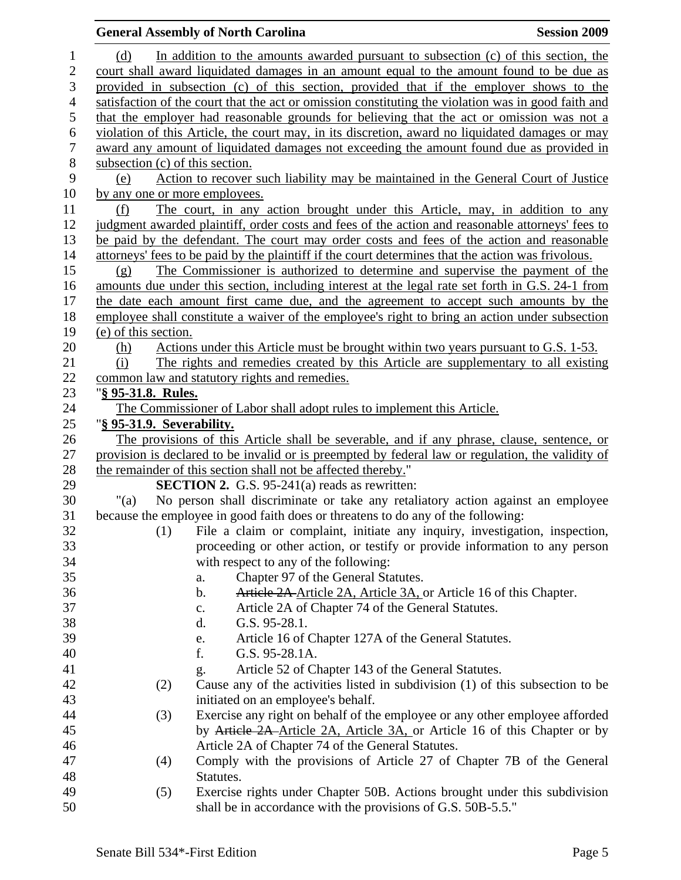## **General Assembly of North Carolina**  Session 2009 **Session 2009** 1 (d) In addition to the amounts awarded pursuant to subsection (c) of this section, the 2 court shall award liquidated damages in an amount equal to the amount found to be due as 3 provided in subsection (c) of this section, provided that if the employer shows to the 4 satisfaction of the court that the act or omission constituting the violation was in good faith and 5 that the employer had reasonable grounds for believing that the act or omission was not a 6 violation of this Article, the court may, in its discretion, award no liquidated damages or may 7 award any amount of liquidated damages not exceeding the amount found due as provided in 8 subsection (c) of this section. 9 (e) Action to recover such liability may be maintained in the General Court of Justice 10 by any one or more employees. 11 (f) The court, in any action brought under this Article, may, in addition to any 12 judgment awarded plaintiff, order costs and fees of the action and reasonable attorneys' fees to 13 be paid by the defendant. The court may order costs and fees of the action and reasonable 14 attorneys' fees to be paid by the plaintiff if the court determines that the action was frivolous. 15 (g) The Commissioner is authorized to determine and supervise the payment of the 16 amounts due under this section, including interest at the legal rate set forth in G.S. 24-1 from 17 the date each amount first came due, and the agreement to accept such amounts by the 18 employee shall constitute a waiver of the employee's right to bring an action under subsection 19 (e) of this section. 20 (h) Actions under this Article must be brought within two years pursuant to G.S. 1-53. 21 (i) The rights and remedies created by this Article are supplementary to all existing 22 common law and statutory rights and remedies. 23 "**§ 95-31.8. Rules.** 24 The Commissioner of Labor shall adopt rules to implement this Article. 25 "**§ 95-31.9. Severability.** 26 The provisions of this Article shall be severable, and if any phrase, clause, sentence, or 27 provision is declared to be invalid or is preempted by federal law or regulation, the validity of 28 the remainder of this section shall not be affected thereby." 29 **SECTION 2.** G.S. 95-241(a) reads as rewritten: 30 "(a) No person shall discriminate or take any retaliatory action against an employee 31 because the employee in good faith does or threatens to do any of the following: 32 (1) File a claim or complaint, initiate any inquiry, investigation, inspection, 33 proceeding or other action, or testify or provide information to any person 34 with respect to any of the following: 35 a. Chapter 97 of the General Statutes. 36 b. Article 2A Article 2A, Article 3A, or Article 16 of this Chapter. 37 c. Article 2A of Chapter 74 of the General Statutes. 38 d. G.S. 95-28.1. 39 e. Article 16 of Chapter 127A of the General Statutes. 40 f. G.S. 95-28.1A. 41 g. Article 52 of Chapter 143 of the General Statutes. 42 (2) Cause any of the activities listed in subdivision (1) of this subsection to be 43 initiated on an employee's behalf. 44 (3) Exercise any right on behalf of the employee or any other employee afforded 45 by Article 2A Article 2A, Article 3A, or Article 16 of this Chapter or by 46 Article 2A of Chapter 74 of the General Statutes. 47 (4) Comply with the provisions of Article 27 of Chapter 7B of the General 48 Statutes. 49 (5) Exercise rights under Chapter 50B. Actions brought under this subdivision 50 shall be in accordance with the provisions of G.S. 50B-5.5."